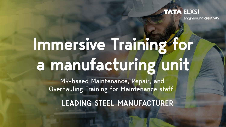## **TATA ELXSI**

engineering creativity

# Immersive Training for a manufacturing unit

MR-based Maintenance, Repair, and Overhauling Training for Maintenance staff

LEADING STEEL MANUFACTURER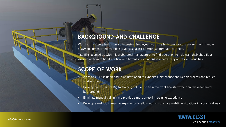### BACKGROUND AND CHALLENGE

Working in a steel plant is hazard intensive. Employees work in a high temperature environment, handle heavy equipments and materials. Even a smallest of error can turn fatal for them.

Tata Elxsi teamed up with this global steel manufacturer to find a solution to help train their shop floor workers on how to handle critical and hazardous situations in a better way and avoid casualties.

#### SCOPE OF WORK

- A scalable MR solution had to be developed to expedite Maintenance and Repair process and reduce worker stress.
- Develop an immersive Digital training solution to train the front-line staff who don't have technical background.
- Eliminate manual training and provide a more engaging training experience
- Develop a realistic immersive experience to allow workers practice real-time situations in a practical way.